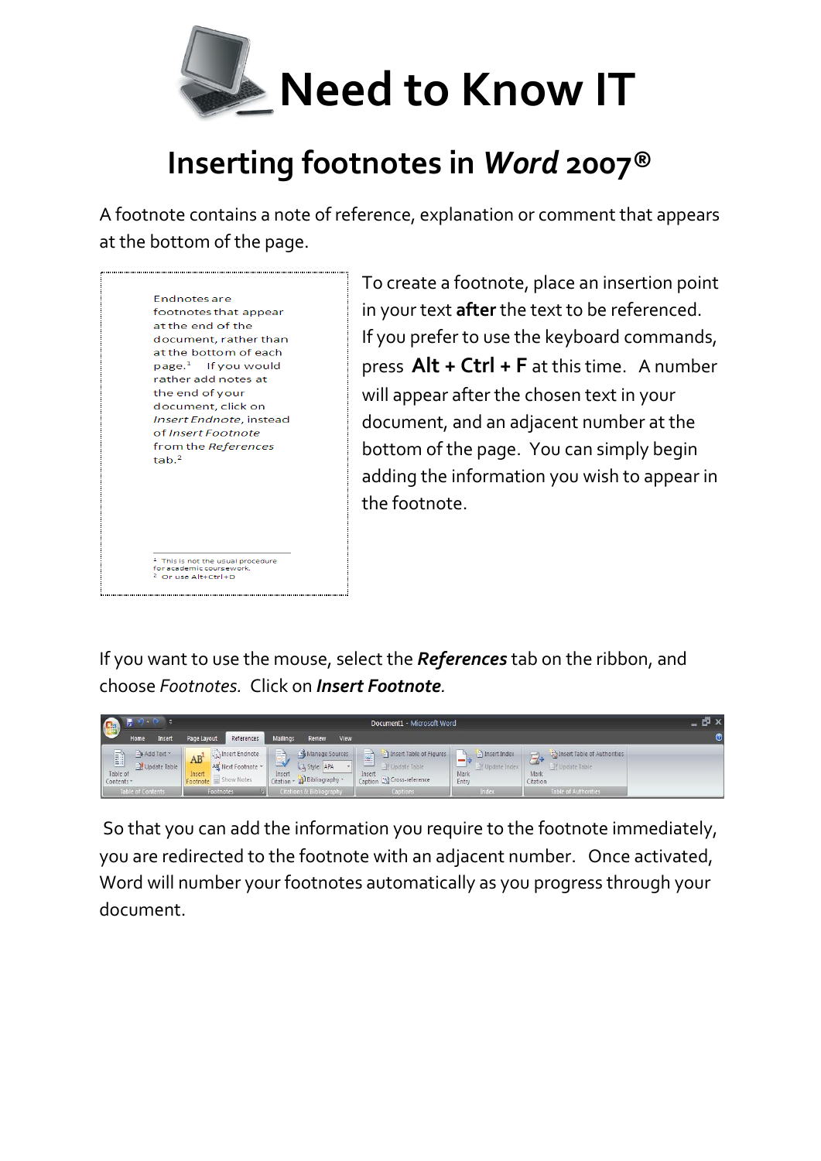

## **Inserting footnotes in** *Word* **2007®**

A footnote contains a note of reference, explanation or comment that appears at the bottom of the page.



To create a footnote, place an insertion point in your text **after** the text to be referenced. If you prefer to use the keyboard commands, press **Alt + Ctrl + F** at this time. A number will appear after the chosen text in your document, and an adjacent number at the bottom of the page. You can simply begin adding the information you wish to appear in the footnote.

If you want to use the mouse, select the *References* tab on the ribbon, and choose *Footnotes.* Click on *Insert Footnote.* 



So that you can add the information you require to the footnote immediately, you are redirected to the footnote with an adjacent number. Once activated, Word will number your footnotes automatically as you progress through your document.